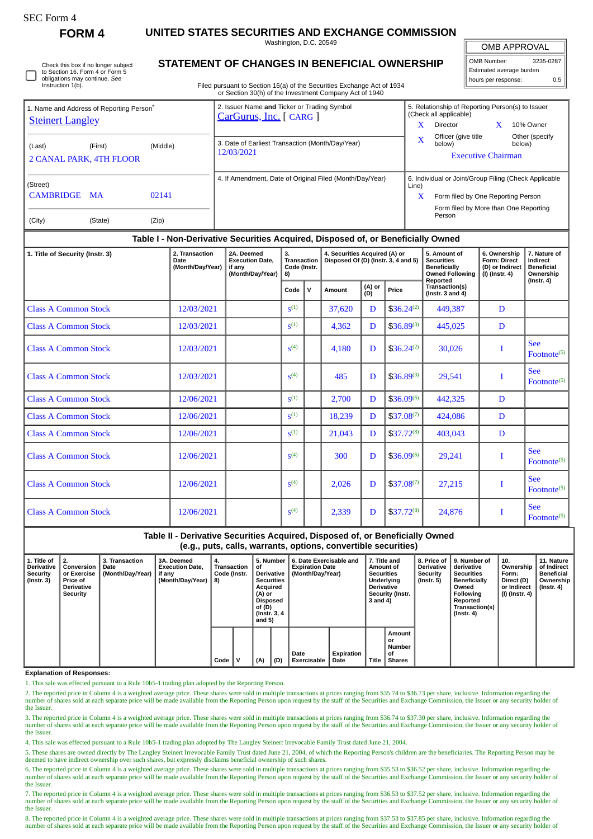| SEC Form- |
|-----------|
|-----------|

**FORM 4 UNITED STATES SECURITIES AND EXCHANGE COMMISSION**

Washington, D.C. 20549

OMB APPROVAL

| OMB Number:              | 3235-0287 |  |  |  |  |  |  |  |
|--------------------------|-----------|--|--|--|--|--|--|--|
| Estimated average burden |           |  |  |  |  |  |  |  |
| hours per response:      | 0.5       |  |  |  |  |  |  |  |

Check this box if no longer subject to Section 16. Form 4 or Form 5 obligations may continue. *See* Instruction 1(b).

## **STATEMENT OF CHANGES IN BENEFICIAL OWNERSHIP**

Filed pursuant to Section 16(a) of the Securities Exchange Act of 1934 or Section 30(h) of the Investment Company Act of 1940

| 1. Name and Address of Reporting Person <sup>®</sup> |          | 2. Issuer Name and Ticker or Trading Symbol<br>CarGurus, Inc. [ CARG ] | 5. Relationship of Reporting Person(s) to Issuer<br>(Check all applicable) |                                                                                             |  |                          |  |  |
|------------------------------------------------------|----------|------------------------------------------------------------------------|----------------------------------------------------------------------------|---------------------------------------------------------------------------------------------|--|--------------------------|--|--|
| <b>Steinert Langley</b>                              |          |                                                                        | x                                                                          | Director                                                                                    |  | 10% Owner                |  |  |
| (Last)<br>(First)<br><b>2 CANAL PARK, 4TH FLOOR</b>  | (Middle) | 3. Date of Earliest Transaction (Month/Day/Year)<br>12/03/2021         | X                                                                          | Officer (give title<br>below)<br><b>Executive Chairman</b>                                  |  | Other (specify<br>below) |  |  |
| (Street)<br>CAMBRIDGE MA                             | 02141    | 4. If Amendment, Date of Original Filed (Month/Day/Year)               | Line)<br>$\mathbf x$                                                       | 6. Individual or Joint/Group Filing (Check Applicable<br>Form filed by One Reporting Person |  |                          |  |  |
| (City)<br>(State)                                    | (Zip)    |                                                                        |                                                                            | Form filed by More than One Reporting<br>Person                                             |  |                          |  |  |

## **Table I - Non-Derivative Securities Acquired, Disposed of, or Beneficially Owned**

| 1. Title of Security (Instr. 3) | 2. Transaction<br>Date<br>(Month/Day/Year) | 2A. Deemed<br><b>Execution Date,</b><br>if any<br>(Month/Day/Year) | 3.<br>Transaction<br>Code (Instr.<br>8) |             | 4. Securities Acquired (A) or<br>Disposed Of (D) (Instr. 3, 4 and 5) |               |                 | 5. Amount of<br><b>Securities</b><br><b>Beneficially</b><br><b>Owned Following</b> | 6. Ownership<br><b>Form: Direct</b><br>(D) or Indirect<br>(I) (Instr. 4) | 7. Nature of<br>Indirect<br><b>Beneficial</b><br>Ownership |
|---------------------------------|--------------------------------------------|--------------------------------------------------------------------|-----------------------------------------|-------------|----------------------------------------------------------------------|---------------|-----------------|------------------------------------------------------------------------------------|--------------------------------------------------------------------------|------------------------------------------------------------|
|                                 |                                            |                                                                    | Code                                    | $\mathbf v$ | Amount                                                               | (A) or<br>(D) | Price           | Reported<br>Transaction(s)<br>$($ Instr. 3 and 4 $)$                               |                                                                          | $($ Instr. 4 $)$                                           |
| <b>Class A Common Stock</b>     | 12/03/2021                                 |                                                                    | $S^{(1)}$                               |             | 37,620                                                               | D             | $$36.24^{(2)}$$ | 449,387                                                                            | D                                                                        |                                                            |
| <b>Class A Common Stock</b>     | 12/03/2021                                 |                                                                    | S <sup>(1)</sup>                        |             | 4,362                                                                | D             | $$36.89^{(3)}$  | 445,025                                                                            | D                                                                        |                                                            |
| <b>Class A Common Stock</b>     | 12/03/2021                                 |                                                                    | $\mathbf{S}^{(4)}$                      |             | 4,180                                                                | D             | $$36.24^{(2)}$  | 30,026                                                                             | I                                                                        | <b>See</b><br>Footnote <sup>(5)</sup>                      |
| <b>Class A Common Stock</b>     | 12/03/2021                                 |                                                                    | $\mathbf{S}^{(4)}$                      |             | 485                                                                  | D             | $$36.89^{(3)}$  | 29,541                                                                             |                                                                          | <b>See</b><br>Footnote <sup>(5)</sup>                      |
| <b>Class A Common Stock</b>     | 12/06/2021                                 |                                                                    | S <sup>(1)</sup>                        |             | 2,700                                                                | D             | $$36.09^{(6)}$  | 442,325                                                                            | D                                                                        |                                                            |
| <b>Class A Common Stock</b>     | 12/06/2021                                 |                                                                    | S <sup>(1)</sup>                        |             | 18,239                                                               | D             | $$37.08^{(7)}$  | 424,086                                                                            | D                                                                        |                                                            |
| <b>Class A Common Stock</b>     | 12/06/2021                                 |                                                                    | S <sup>(1)</sup>                        |             | 21,043                                                               | D             | $$37.72^{(8)}$  | 403,043                                                                            | D                                                                        |                                                            |
| <b>Class A Common Stock</b>     | 12/06/2021                                 |                                                                    | S <sup>(4)</sup>                        |             | 300                                                                  | D             | $$36.09^{(6)}$  | 29,241                                                                             | I                                                                        | <b>See</b><br>Footnote <sup>(5)</sup>                      |
| <b>Class A Common Stock</b>     | 12/06/2021                                 |                                                                    | S <sup>(4)</sup>                        |             | 2,026                                                                | D             | $$37.08^{(7)}$  | 27,215                                                                             | I                                                                        | <b>See</b><br>Footnote <sup>(5)</sup>                      |
| <b>Class A Common Stock</b>     | 12/06/2021                                 |                                                                    | S <sup>(4)</sup>                        |             | 2,339                                                                | D             | $$37.72^{(8)}$  | 24,876                                                                             |                                                                          | <b>See</b><br>Footnote <sup>(5)</sup>                      |

**Table II - Derivative Securities Acquired, Disposed of, or Beneficially Owned (e.g., puts, calls, warrants, options, convertible securities)**

| 1. Title of<br><b>Derivative</b><br>Security<br>(Instr. 3) | 2.<br>Conversion<br>or Exercise<br><b>Price of</b><br><b>Derivative</b><br>Security | 3. Transaction<br>Date<br>(Month/Day/Year) | <b>3A. Deemed</b><br><b>Execution Date.</b><br>if any<br>(Month/Day/Year) | 4.<br><b>Transaction</b><br>Code (Instr.<br>8) |   | 5. Number<br>οf<br><b>Derivative</b><br><b>Securities</b><br>Acquired<br>(A) or<br>Disposed<br>of (D)<br>(Instr. 3, 4)<br>and $5)$ |     | 6. Date Exercisable and<br><b>Expiration Date</b><br>(Month/Dav/Year) | 7. Title and<br>Amount of<br><b>Securities</b><br>Underlying<br><b>Derivative</b><br>Security (Instr.<br>3 and 4) |              | 8. Price of<br><b>Derivative</b><br>Security<br>(Instr. 5) | l 9. Number of<br>derivative<br><b>Securities</b><br><b>Beneficially</b><br>Owned<br>Following<br>Reported<br>Transaction(s)<br>$($ Instr. 4 $)$ | 10.<br>Ownership<br>Form:<br>Direct (D)<br>or Indirect<br>  (I) (Instr. 4) | 11. Nature<br>of Indirect<br><b>Beneficial</b><br>Ownership<br>(Instr. 4) |  |
|------------------------------------------------------------|-------------------------------------------------------------------------------------|--------------------------------------------|---------------------------------------------------------------------------|------------------------------------------------|---|------------------------------------------------------------------------------------------------------------------------------------|-----|-----------------------------------------------------------------------|-------------------------------------------------------------------------------------------------------------------|--------------|------------------------------------------------------------|--------------------------------------------------------------------------------------------------------------------------------------------------|----------------------------------------------------------------------------|---------------------------------------------------------------------------|--|
|                                                            |                                                                                     |                                            |                                                                           | Code                                           | v | (A)                                                                                                                                | (D) | Date<br><b>Exercisable</b>                                            | Expiration<br>Date                                                                                                | <b>Title</b> | Amount<br>or<br><b>Number</b><br>οf<br><b>Shares</b>       |                                                                                                                                                  |                                                                            |                                                                           |  |

#### **Explanation of Responses:**

1. This sale was effected pursuant to a Rule 10b5-1 trading plan adopted by the Reporting Person.

2. The reported price in Column 4 is a weighted average price. These shares were sold in multiple transactions at prices ranging from \$35.74 to \$36.73 per share, inclusive. Information regarding the number of shares sold at each separate price will be made available from the Reporting Person upon request by the staff of the Securities and Exchange Commission, the Issuer or any security holder of the Issuer.

3. The reported price in Column 4 is a weighted average price. These shares were sold in multiple transactions at prices ranging from \$36.74 to \$37.30 per share, inclusive. Information regarding the number of shares sold at each separate price will be made available from the Reporting Person upon request by the staff of the Securities and Exchange Commission, the Issuer or any security holder of the Issuer

4. This sale was effected pursuant to a Rule 10b5-1 trading plan adopted by The Langley Steinert Irrevocable Family Trust dated June 21, 2004.

5. These shares are owned directly by The Langley Steinert Irrevocable Family Trust dated June 21, 2004, of which the Reporting Person's children are the beneficiaries. The Reporting Person may be deemed to have indirect ownership over such shares, but expressly disclaims beneficial ownership of such shares.

6. The reported price in Column 4 is a weighted average price. These shares were sold in multiple transactions at prices ranging from \$35.53 to \$36.52 per share, inclusive. Information regarding the number of shares sold at each separate price will be made available from the Reporting Person upon request by the staff of the Securities and Exchange Commission, the Issuer or any security holder of the Issuer.

7. The reported price in Column 4 is a weighted average price. These shares were sold in multiple transactions at prices ranging from \$36.53 to \$37.52 per share, inclusive. Information regarding the number of shares sold at each separate price will be made available from the Reporting Person upon request by the staff of the Securities and Exchange Commission, the Issuer or any security holder of the Issuer.

8. The reported price in Column 4 is a weighted average price. These shares were sold in multiple transactions at prices ranging from \$37.53 to \$37.85 per share, inclusive. Information regarding the number of shares sold at each separate price will be made available from the Reporting Person upon request by the staff of the Securities and Exchange Commission, the Issuer or any security holder of